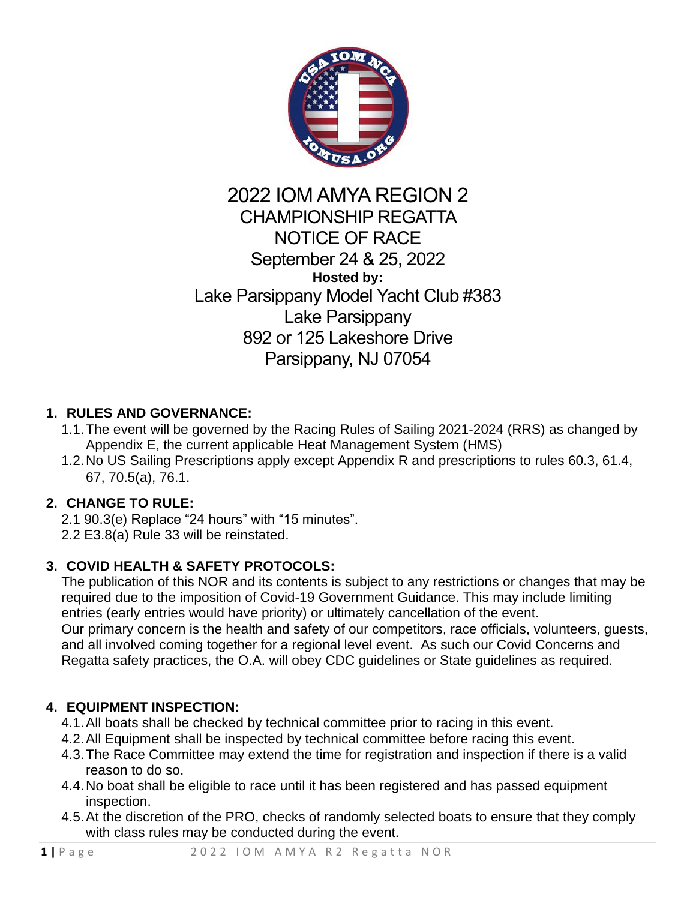

## 2022 IOM AMYA REGION 2 CHAMPIONSHIP REGATTA NOTICE OF RACE September 24 & 25, 2022 **Hosted by:** Lake Parsippany Model Yacht Club #383 Lake Parsippany 892 or 125 Lakeshore Drive Parsippany, NJ 07054

## **1. RULES AND GOVERNANCE:**

- 1.1.The event will be governed by the Racing Rules of Sailing 2021-2024 (RRS) as changed by Appendix E, the current applicable Heat Management System (HMS)
- 1.2.No US Sailing Prescriptions apply except Appendix R and prescriptions to rules 60.3, 61.4, 67, 70.5(a), 76.1.

## **2. CHANGE TO RULE:**

2.1 90.3(e) Replace "24 hours" with "15 minutes". 2.2 E3.8(a) Rule 33 will be reinstated.

## **3. COVID HEALTH & SAFETY PROTOCOLS:**

The publication of this NOR and its contents is subject to any restrictions or changes that may be required due to the imposition of Covid-19 Government Guidance. This may include limiting entries (early entries would have priority) or ultimately cancellation of the event. Our primary concern is the health and safety of our competitors, race officials, volunteers, guests, and all involved coming together for a regional level event. As such our Covid Concerns and Regatta safety practices, the O.A. will obey CDC guidelines or State guidelines as required.

## **4. EQUIPMENT INSPECTION:**

- 4.1.All boats shall be checked by technical committee prior to racing in this event.
- 4.2.All Equipment shall be inspected by technical committee before racing this event.
- 4.3.The Race Committee may extend the time for registration and inspection if there is a valid reason to do so.
- 4.4.No boat shall be eligible to race until it has been registered and has passed equipment inspection.
- 4.5.At the discretion of the PRO, checks of randomly selected boats to ensure that they comply with class rules may be conducted during the event.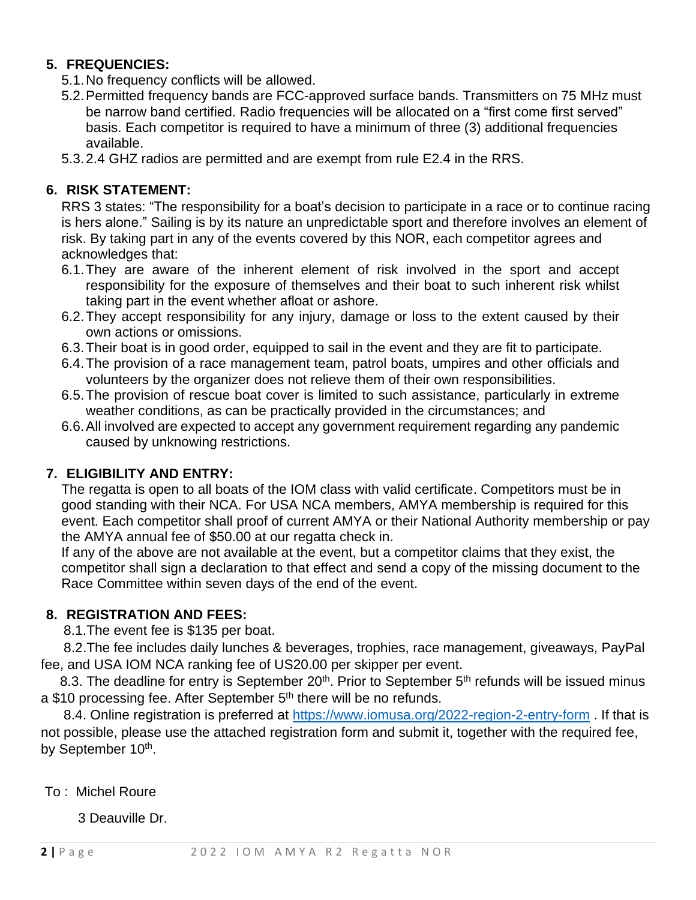## **5. FREQUENCIES:**

- 5.1.No frequency conflicts will be allowed.
- 5.2.Permitted frequency bands are FCC-approved surface bands. Transmitters on 75 MHz must be narrow band certified. Radio frequencies will be allocated on a "first come first served" basis. Each competitor is required to have a minimum of three (3) additional frequencies available.
- 5.3.2.4 GHZ radios are permitted and are exempt from rule E2.4 in the RRS.

## **6. RISK STATEMENT:**

RRS 3 states: "The responsibility for a boat's decision to participate in a race or to continue racing is hers alone." Sailing is by its nature an unpredictable sport and therefore involves an element of risk. By taking part in any of the events covered by this NOR, each competitor agrees and acknowledges that:

- 6.1.They are aware of the inherent element of risk involved in the sport and accept responsibility for the exposure of themselves and their boat to such inherent risk whilst taking part in the event whether afloat or ashore.
- 6.2.They accept responsibility for any injury, damage or loss to the extent caused by their own actions or omissions.
- 6.3.Their boat is in good order, equipped to sail in the event and they are fit to participate.
- 6.4.The provision of a race management team, patrol boats, umpires and other officials and volunteers by the organizer does not relieve them of their own responsibilities.
- 6.5.The provision of rescue boat cover is limited to such assistance, particularly in extreme weather conditions, as can be practically provided in the circumstances; and
- 6.6.All involved are expected to accept any government requirement regarding any pandemic caused by unknowing restrictions.

#### **7. ELIGIBILITY AND ENTRY:**

The regatta is open to all boats of the IOM class with valid certificate. Competitors must be in good standing with their NCA. For USA NCA members, AMYA membership is required for this event. Each competitor shall proof of current AMYA or their National Authority membership or pay the AMYA annual fee of \$50.00 at our regatta check in.

If any of the above are not available at the event, but a competitor claims that they exist, the competitor shall sign a declaration to that effect and send a copy of the missing document to the Race Committee within seven days of the end of the event.

## **8. REGISTRATION AND FEES:**

8.1.The event fee is \$135 per boat.

 8.2.The fee includes daily lunches & beverages, trophies, race management, giveaways, PayPal fee, and USA IOM NCA ranking fee of US20.00 per skipper per event.

8.3. The deadline for entry is September  $20<sup>th</sup>$ . Prior to September  $5<sup>th</sup>$  refunds will be issued minus a \$10 processing fee. After September 5<sup>th</sup> there will be no refunds.

8.4. Online registration is preferred at<https://www.iomusa.org/2022-region-2-entry-form> . If that is not possible, please use the attached registration form and submit it, together with the required fee, by September 10<sup>th</sup>.

To : Michel Roure

3 Deauville Dr.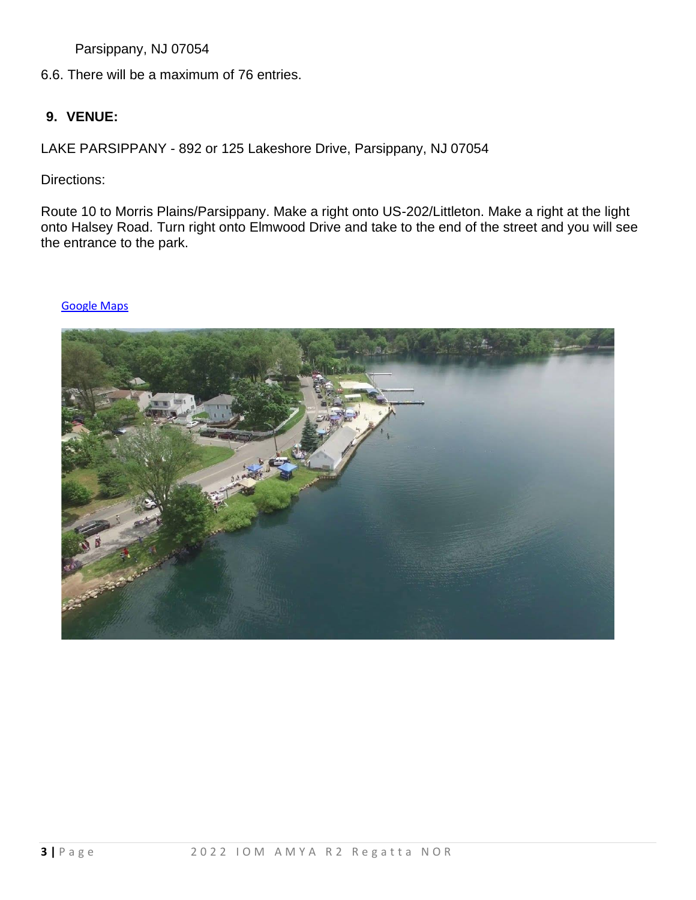Parsippany, NJ 07054

6.6. There will be a maximum of 76 entries.

#### **9. VENUE:**

LAKE PARSIPPANY - 892 or 125 Lakeshore Drive, Parsippany, NJ 07054

Directions:

Route 10 to Morris Plains/Parsippany. Make a right onto US-202/Littleton. Make a right at the light onto Halsey Road. Turn right onto Elmwood Drive and take to the end of the street and you will see the entrance to the park.

#### [Google Maps](https://www.google.com/maps/@41.4764035,-71.3340842,1084m/data=!3m1!1e3)

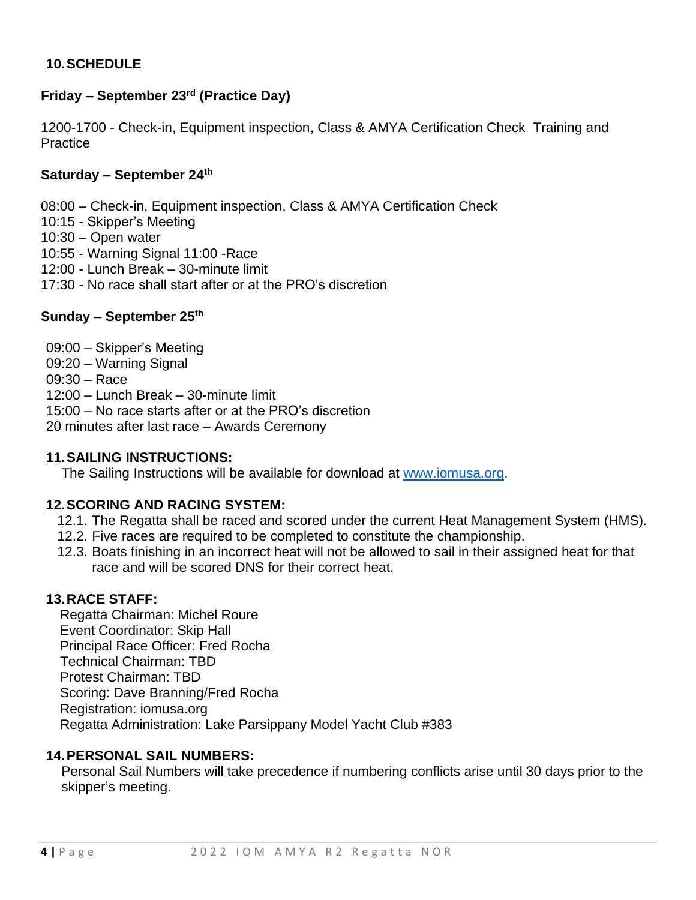## **10.SCHEDULE**

## **Friday - September 23<sup>rd</sup> (Practice Day)**

1200-1700 - Check-in, Equipment inspection, Class & AMYA Certification Check Training and **Practice** 

#### **Saturday – September 24 th**

08:00 – Check-in, Equipment inspection, Class & AMYA Certification Check

- 10:15 Skipper's Meeting
- 10:30 Open water
- 10:55 Warning Signal 11:00 -Race
- 12:00 Lunch Break 30-minute limit
- 17:30 No race shall start after or at the PRO's discretion

#### **Sunday – September 25 th**

09:00 – Skipper's Meeting 09:20 – Warning Signal 09:30 – Race 12:00 – Lunch Break – 30-minute limit 15:00 – No race starts after or at the PRO's discretion 20 minutes after last race – Awards Ceremony

#### **11.SAILING INSTRUCTIONS:**

The Sailing Instructions will be available for download at [www.iomusa.org.](http://www.iomusa.org/)

#### **12.SCORING AND RACING SYSTEM:**

- 12.1. The Regatta shall be raced and scored under the current Heat Management System (HMS).
- 12.2. Five races are required to be completed to constitute the championship.
- 12.3. Boats finishing in an incorrect heat will not be allowed to sail in their assigned heat for that race and will be scored DNS for their correct heat.

#### **13.RACE STAFF:**

 Regatta Chairman: Michel Roure Event Coordinator: Skip Hall Principal Race Officer: Fred Rocha Technical Chairman: TBD Protest Chairman: TBD Scoring: Dave Branning/Fred Rocha Registration: iomusa.org Regatta Administration: Lake Parsippany Model Yacht Club #383

#### **14.PERSONAL SAIL NUMBERS:**

Personal Sail Numbers will take precedence if numbering conflicts arise until 30 days prior to the skipper's meeting.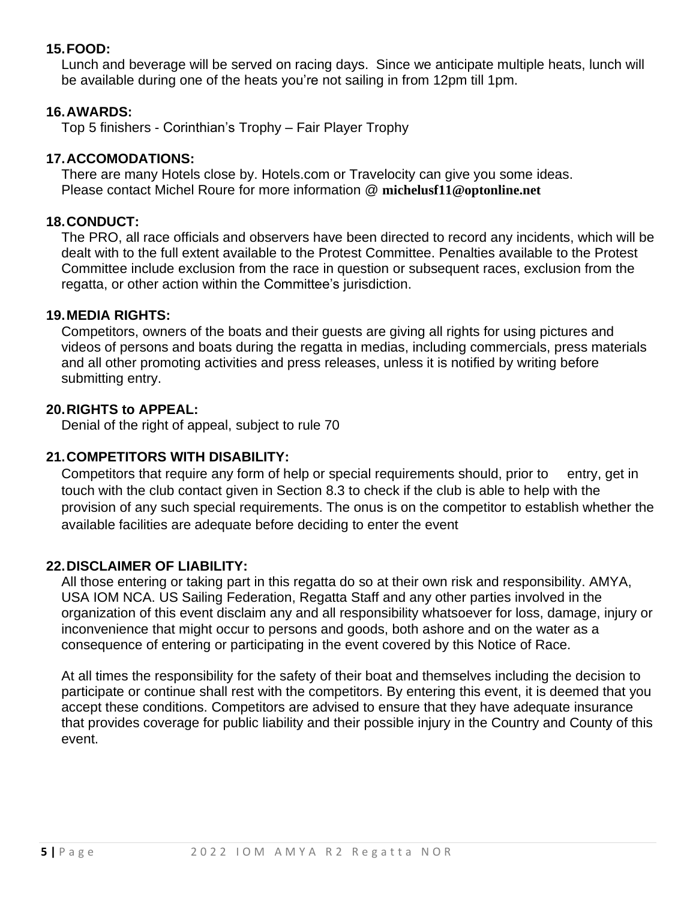## **15.FOOD:**

Lunch and beverage will be served on racing days. Since we anticipate multiple heats, lunch will be available during one of the heats you're not sailing in from 12pm till 1pm.

## **16.AWARDS:**

Top 5 finishers - Corinthian's Trophy – Fair Player Trophy

## **17.ACCOMODATIONS:**

There are many Hotels close by. Hotels.com or Travelocity can give you some ideas. Please contact Michel Roure for more information @ **michelusf11@optonline.net**

## **18.CONDUCT:**

The PRO, all race officials and observers have been directed to record any incidents, which will be dealt with to the full extent available to the Protest Committee. Penalties available to the Protest Committee include exclusion from the race in question or subsequent races, exclusion from the regatta, or other action within the Committee's jurisdiction.

## **19.MEDIA RIGHTS:**

Competitors, owners of the boats and their guests are giving all rights for using pictures and videos of persons and boats during the regatta in medias, including commercials, press materials and all other promoting activities and press releases, unless it is notified by writing before submitting entry.

## **20.RIGHTS to APPEAL:**

Denial of the right of appeal, subject to rule 70

## **21.COMPETITORS WITH DISABILITY:**

Competitors that require any form of help or special requirements should, prior to entry, get in touch with the club contact given in Section 8.3 to check if the club is able to help with the provision of any such special requirements. The onus is on the competitor to establish whether the available facilities are adequate before deciding to enter the event

## **22.DISCLAIMER OF LIABILITY:**

All those entering or taking part in this regatta do so at their own risk and responsibility. AMYA, USA IOM NCA. US Sailing Federation, Regatta Staff and any other parties involved in the organization of this event disclaim any and all responsibility whatsoever for loss, damage, injury or inconvenience that might occur to persons and goods, both ashore and on the water as a consequence of entering or participating in the event covered by this Notice of Race.

At all times the responsibility for the safety of their boat and themselves including the decision to participate or continue shall rest with the competitors. By entering this event, it is deemed that you accept these conditions. Competitors are advised to ensure that they have adequate insurance that provides coverage for public liability and their possible injury in the Country and County of this event.